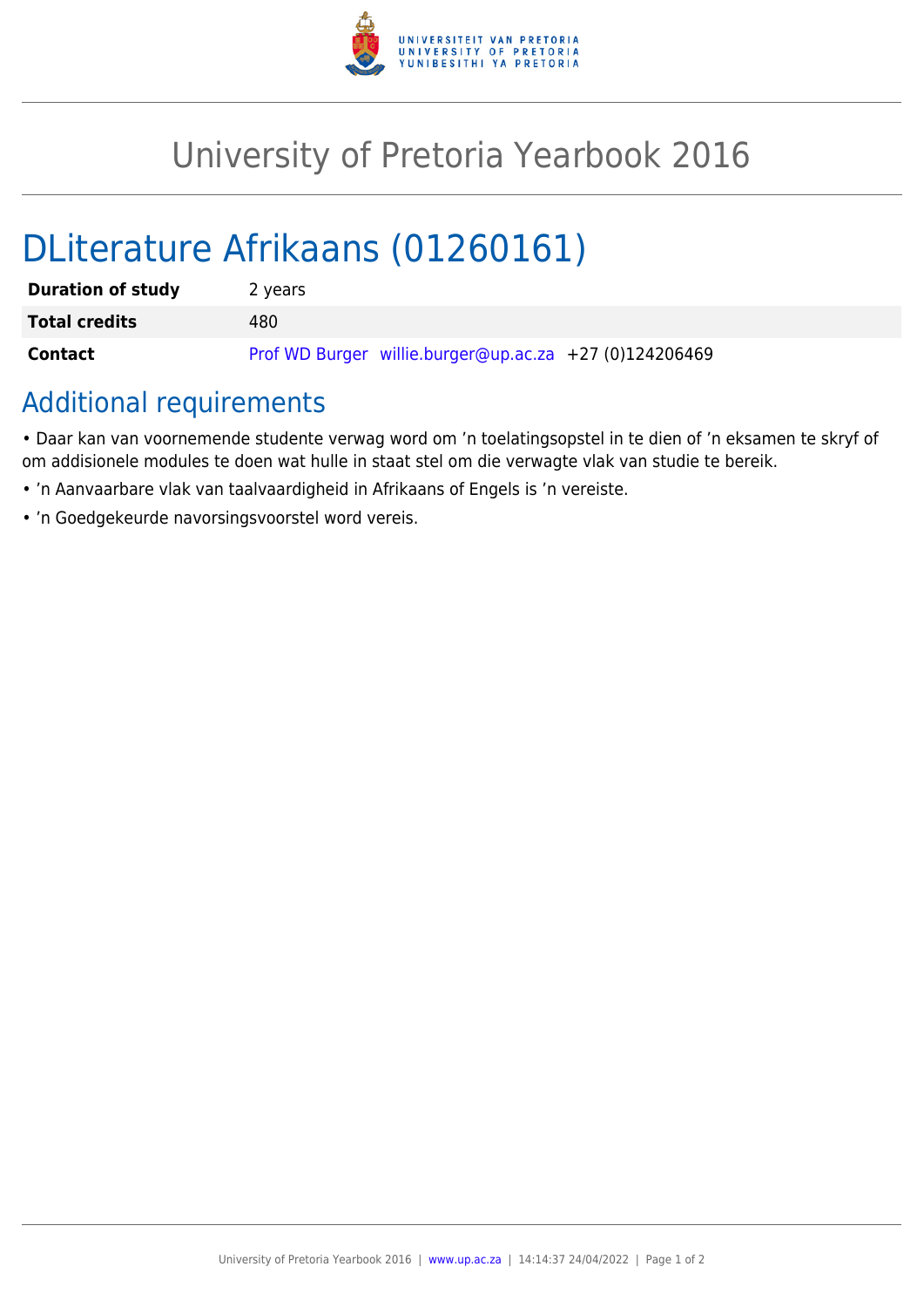

## University of Pretoria Yearbook 2016

# DLiterature Afrikaans (01260161)

| <b>Duration of study</b> | 2 years                                                |
|--------------------------|--------------------------------------------------------|
| <b>Total credits</b>     | 480                                                    |
| Contact                  | Prof WD Burger willie.burger@up.ac.za +27 (0)124206469 |

### Additional requirements

• Daar kan van voornemende studente verwag word om 'n toelatingsopstel in te dien of 'n eksamen te skryf of om addisionele modules te doen wat hulle in staat stel om die verwagte vlak van studie te bereik.

- 'n Aanvaarbare vlak van taalvaardigheid in Afrikaans of Engels is 'n vereiste.
- 'n Goedgekeurde navorsingsvoorstel word vereis.